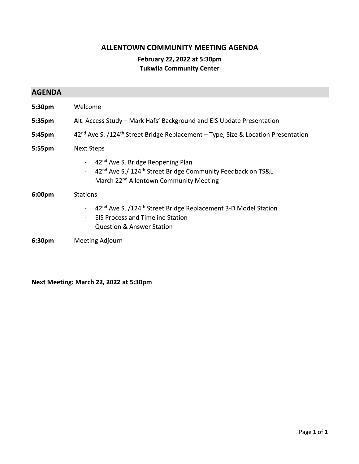#### ALLENTOWN COMMUNITY MEETING AGENDA

#### February 22, 2022 at 5:30pm **Tukwila Community Center**

| <b>AGENDA</b>      |                                                                                                                                                                                                                                                                      |
|--------------------|----------------------------------------------------------------------------------------------------------------------------------------------------------------------------------------------------------------------------------------------------------------------|
| 5:30pm             | Welcome                                                                                                                                                                                                                                                              |
| 5:35 <sub>pm</sub> | Alt. Access Study - Mark Hafs' Background and EIS Update Presentation                                                                                                                                                                                                |
| 5:45pm             | 42 <sup>nd</sup> Ave S. /124 <sup>th</sup> Street Bridge Replacement - Type, Size & Location Presentation                                                                                                                                                            |
| 5:55pm             | <b>Next Steps</b>                                                                                                                                                                                                                                                    |
|                    | 42 <sup>nd</sup> Ave S. Bridge Reopening Plan<br>$\blacksquare$<br>42 <sup>nd</sup> Ave S./ 124 <sup>th</sup> Street Bridge Community Feedback on TS&L<br>$\overline{\phantom{0}}$<br>March 22 <sup>nd</sup> Allentown Community Meeting<br>$\overline{\phantom{0}}$ |
| 6:00 <sub>pm</sub> | <b>Stations</b>                                                                                                                                                                                                                                                      |
|                    | 42 <sup>nd</sup> Ave S. /124 <sup>th</sup> Street Bridge Replacement 3-D Model Station<br><b>EIS Process and Timeline Station</b><br>$\overline{\phantom{0}}$<br><b>Question &amp; Answer Station</b><br>-                                                           |
| 6:30 <sub>pm</sub> | Meeting Adjourn                                                                                                                                                                                                                                                      |

Next Meeting: March 22, 2022 at 5:30pm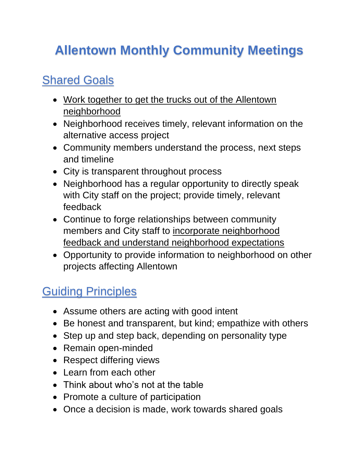# **Allentown Monthly Community Meetings**

### Shared Goals

- Work together to get the trucks out of the Allentown neighborhood
- Neighborhood receives timely, relevant information on the alternative access project
- Community members understand the process, next steps and timeline
- City is transparent throughout process
- Neighborhood has a regular opportunity to directly speak with City staff on the project; provide timely, relevant feedback
- Continue to forge relationships between community members and City staff to incorporate neighborhood feedback and understand neighborhood expectations
- Opportunity to provide information to neighborhood on other projects affecting Allentown

## **Guiding Principles**

- Assume others are acting with good intent
- Be honest and transparent, but kind; empathize with others
- Step up and step back, depending on personality type
- Remain open-minded
- Respect differing views
- Learn from each other
- Think about who's not at the table
- Promote a culture of participation
- Once a decision is made, work towards shared goals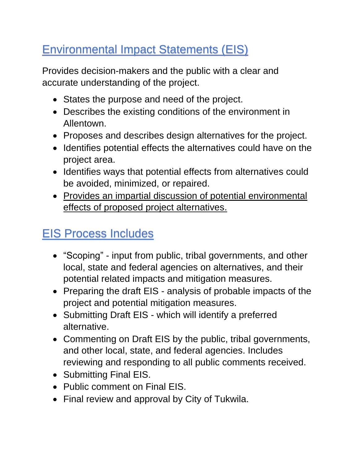### Environmental Impact Statements (EIS)

Provides decision-makers and the public with a clear and accurate understanding of the project.

- States the purpose and need of the project.
- Describes the existing conditions of the environment in Allentown.
- Proposes and describes design alternatives for the project.
- Identifies potential effects the alternatives could have on the project area.
- Identifies ways that potential effects from alternatives could be avoided, minimized, or repaired.
- Provides an impartial discussion of potential environmental effects of proposed project alternatives.

### EIS Process Includes

- "Scoping" input from public, tribal governments, and other local, state and federal agencies on alternatives, and their potential related impacts and mitigation measures.
- Preparing the draft EIS analysis of probable impacts of the project and potential mitigation measures.
- Submitting Draft EIS which will identify a preferred alternative.
- Commenting on Draft EIS by the public, tribal governments, and other local, state, and federal agencies. Includes reviewing and responding to all public comments received.
- Submitting Final EIS.
- Public comment on Final EIS.
- Final review and approval by City of Tukwila.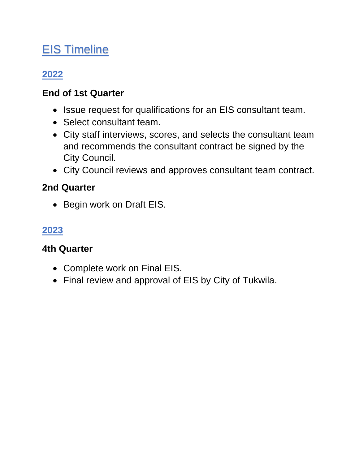### EIS Timeline

### **2022**

#### **End of 1st Quarter**

- Issue request for qualifications for an EIS consultant team.
- Select consultant team.
- City staff interviews, scores, and selects the consultant team and recommends the consultant contract be signed by the City Council.
- City Council reviews and approves consultant team contract.

#### **2nd Quarter**

• Begin work on Draft EIS.

#### **2023**

#### **4th Quarter**

- Complete work on Final EIS.
- Final review and approval of EIS by City of Tukwila.